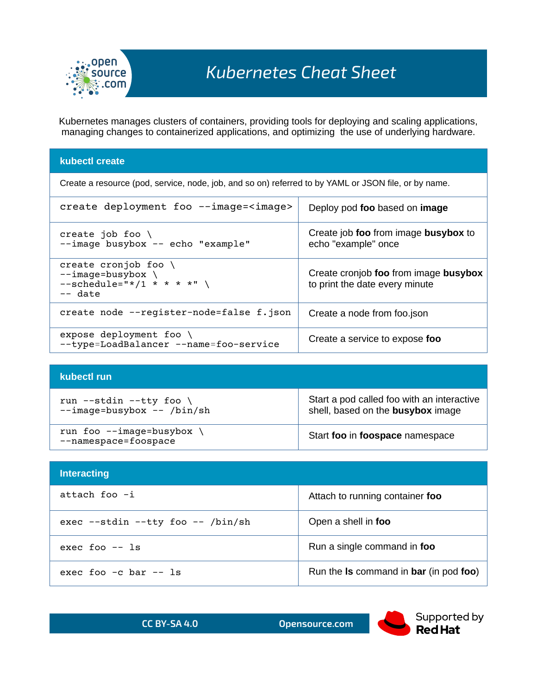

Kubernetes manages clusters of containers, providing tools for deploying and scaling applications, managing changes to containerized applications, and optimizing the use of underlying hardware.

## **kubectl create**

Create a resource (pod, service, node, job, and so on) referred to by YAML or JSON file, or by name.

| create deployment foo --image= <image/>                                                                   | Deploy pod foo based on image                                           |
|-----------------------------------------------------------------------------------------------------------|-------------------------------------------------------------------------|
| create job foo $\setminus$<br>--image busybox -- echo "example"                                           | Create job foo from image busybox to<br>echo "example" once             |
| create cronjob foo $\setminus$<br>$--image = busybox \$<br>$--schedule="*/1 * * * * * " \ \$<br>$--$ date | Create cronjob foo from image busybox<br>to print the date every minute |
| create node --register-node=false f.json                                                                  | Create a node from foo.json                                             |
| expose deployment foo<br>--type=LoadBalancer --name=foo-service                                           | Create a service to expose foo                                          |

## **kubectl run**

| run --stdin --tty foo                           | Start a pod called foo with an interactive |
|-------------------------------------------------|--------------------------------------------|
| --image=busybox -- /bin/sh                      | shell, based on the <b>busybox</b> image   |
| run foo --image=busybox<br>--namespace=foospace | Start foo in foospace namespace            |

| <b>Interacting</b>                      |                                                              |  |
|-----------------------------------------|--------------------------------------------------------------|--|
| attach foo -i                           | Attach to running container foo                              |  |
| $exec - -stdin - -tty foo - - /bin(sh)$ | Open a shell in foo                                          |  |
| $exec$ foo $--$ ls                      | Run a single command in foo                                  |  |
| exec foo $-c$ bar $-$ ls                | Run the <b>Is</b> command in <b>bar</b> (in pod <b>foo</b> ) |  |

| <b>CC BY-SA 4.0</b> | Opensource.com |
|---------------------|----------------|
|                     |                |